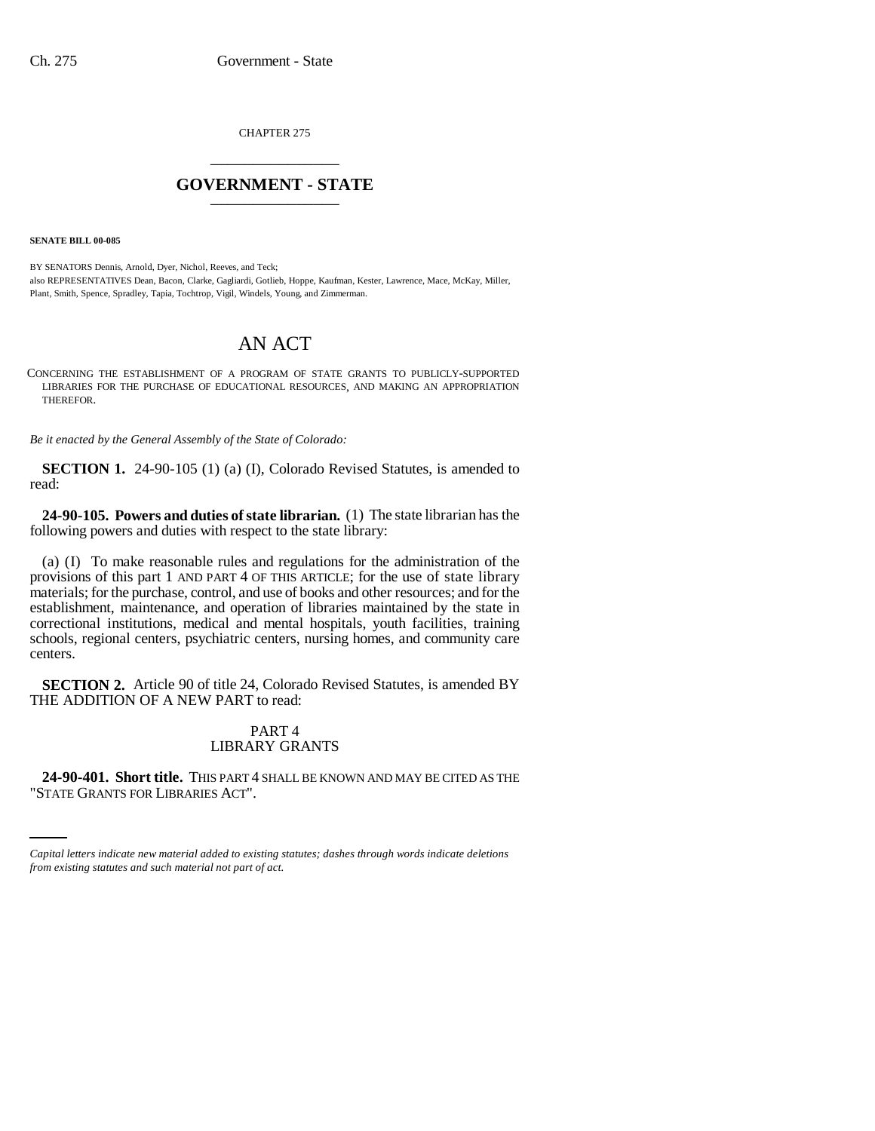CHAPTER 275 \_\_\_\_\_\_\_\_\_\_\_\_\_\_\_

## **GOVERNMENT - STATE** \_\_\_\_\_\_\_\_\_\_\_\_\_\_\_

**SENATE BILL 00-085** 

BY SENATORS Dennis, Arnold, Dyer, Nichol, Reeves, and Teck; also REPRESENTATIVES Dean, Bacon, Clarke, Gagliardi, Gotlieb, Hoppe, Kaufman, Kester, Lawrence, Mace, McKay, Miller, Plant, Smith, Spence, Spradley, Tapia, Tochtrop, Vigil, Windels, Young, and Zimmerman.

## AN ACT

CONCERNING THE ESTABLISHMENT OF A PROGRAM OF STATE GRANTS TO PUBLICLY-SUPPORTED LIBRARIES FOR THE PURCHASE OF EDUCATIONAL RESOURCES, AND MAKING AN APPROPRIATION THEREFOR.

*Be it enacted by the General Assembly of the State of Colorado:*

**SECTION 1.** 24-90-105 (1) (a) (I), Colorado Revised Statutes, is amended to read:

**24-90-105. Powers and duties of state librarian.** (1) The state librarian has the following powers and duties with respect to the state library:

(a) (I) To make reasonable rules and regulations for the administration of the provisions of this part 1 AND PART 4 OF THIS ARTICLE; for the use of state library materials; for the purchase, control, and use of books and other resources; and for the establishment, maintenance, and operation of libraries maintained by the state in correctional institutions, medical and mental hospitals, youth facilities, training schools, regional centers, psychiatric centers, nursing homes, and community care centers.

**SECTION 2.** Article 90 of title 24, Colorado Revised Statutes, is amended BY THE ADDITION OF A NEW PART to read:

## PART 4 LIBRARY GRANTS

 $\sim$ **24-90-401. Short title.** THIS PART 4 SHALL BE KNOWN AND MAY BE CITED AS THE "STATE GRANTS FOR LIBRARIES ACT".

*Capital letters indicate new material added to existing statutes; dashes through words indicate deletions from existing statutes and such material not part of act.*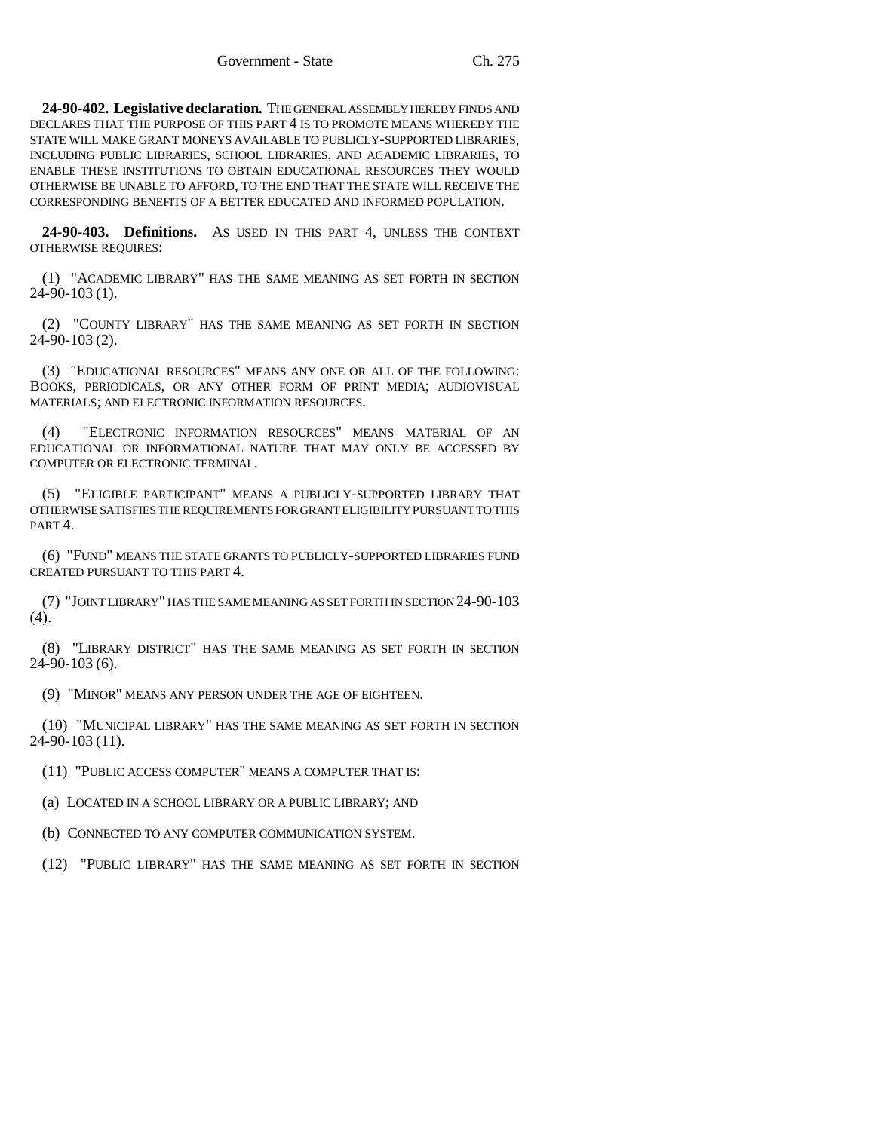**24-90-402. Legislative declaration.** THE GENERAL ASSEMBLY HEREBY FINDS AND DECLARES THAT THE PURPOSE OF THIS PART 4 IS TO PROMOTE MEANS WHEREBY THE STATE WILL MAKE GRANT MONEYS AVAILABLE TO PUBLICLY-SUPPORTED LIBRARIES, INCLUDING PUBLIC LIBRARIES, SCHOOL LIBRARIES, AND ACADEMIC LIBRARIES, TO ENABLE THESE INSTITUTIONS TO OBTAIN EDUCATIONAL RESOURCES THEY WOULD OTHERWISE BE UNABLE TO AFFORD, TO THE END THAT THE STATE WILL RECEIVE THE CORRESPONDING BENEFITS OF A BETTER EDUCATED AND INFORMED POPULATION.

**24-90-403. Definitions.** AS USED IN THIS PART 4, UNLESS THE CONTEXT OTHERWISE REQUIRES:

(1) "ACADEMIC LIBRARY" HAS THE SAME MEANING AS SET FORTH IN SECTION 24-90-103 (1).

(2) "COUNTY LIBRARY" HAS THE SAME MEANING AS SET FORTH IN SECTION 24-90-103 (2).

(3) "EDUCATIONAL RESOURCES" MEANS ANY ONE OR ALL OF THE FOLLOWING: BOOKS, PERIODICALS, OR ANY OTHER FORM OF PRINT MEDIA; AUDIOVISUAL MATERIALS; AND ELECTRONIC INFORMATION RESOURCES.

(4) "ELECTRONIC INFORMATION RESOURCES" MEANS MATERIAL OF AN EDUCATIONAL OR INFORMATIONAL NATURE THAT MAY ONLY BE ACCESSED BY COMPUTER OR ELECTRONIC TERMINAL.

(5) "ELIGIBLE PARTICIPANT" MEANS A PUBLICLY-SUPPORTED LIBRARY THAT OTHERWISE SATISFIES THE REQUIREMENTS FOR GRANT ELIGIBILITY PURSUANT TO THIS PART 4.

(6) "FUND" MEANS THE STATE GRANTS TO PUBLICLY-SUPPORTED LIBRARIES FUND CREATED PURSUANT TO THIS PART 4.

(7) "JOINT LIBRARY" HAS THE SAME MEANING AS SET FORTH IN SECTION 24-90-103  $(4).$ 

(8) "LIBRARY DISTRICT" HAS THE SAME MEANING AS SET FORTH IN SECTION 24-90-103 (6).

(9) "MINOR" MEANS ANY PERSON UNDER THE AGE OF EIGHTEEN.

(10) "MUNICIPAL LIBRARY" HAS THE SAME MEANING AS SET FORTH IN SECTION 24-90-103 (11).

(11) "PUBLIC ACCESS COMPUTER" MEANS A COMPUTER THAT IS:

(a) LOCATED IN A SCHOOL LIBRARY OR A PUBLIC LIBRARY; AND

(b) CONNECTED TO ANY COMPUTER COMMUNICATION SYSTEM.

(12) "PUBLIC LIBRARY" HAS THE SAME MEANING AS SET FORTH IN SECTION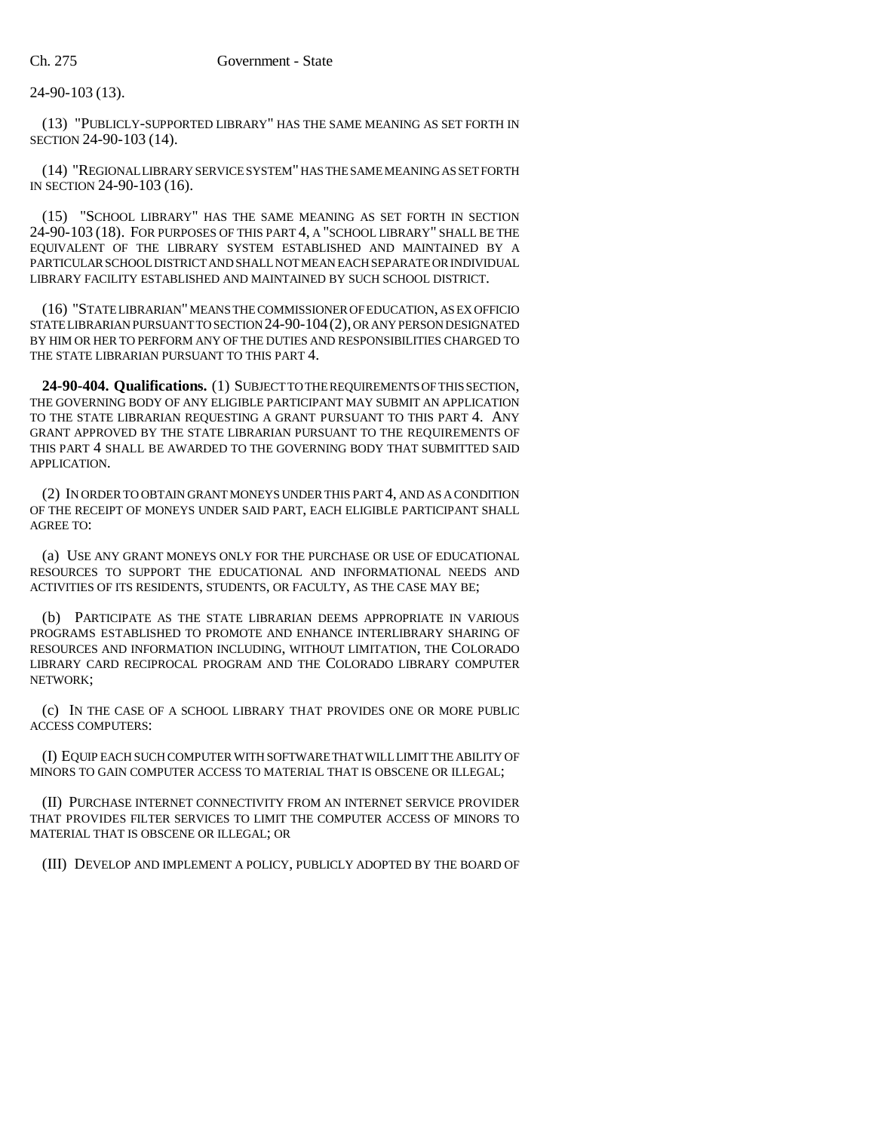24-90-103 (13).

(13) "PUBLICLY-SUPPORTED LIBRARY" HAS THE SAME MEANING AS SET FORTH IN SECTION 24-90-103 (14).

(14) "REGIONAL LIBRARY SERVICE SYSTEM" HAS THE SAME MEANING AS SET FORTH IN SECTION 24-90-103 (16).

(15) "SCHOOL LIBRARY" HAS THE SAME MEANING AS SET FORTH IN SECTION 24-90-103 (18). FOR PURPOSES OF THIS PART 4, A "SCHOOL LIBRARY" SHALL BE THE EQUIVALENT OF THE LIBRARY SYSTEM ESTABLISHED AND MAINTAINED BY A PARTICULAR SCHOOL DISTRICT AND SHALL NOT MEAN EACH SEPARATE OR INDIVIDUAL LIBRARY FACILITY ESTABLISHED AND MAINTAINED BY SUCH SCHOOL DISTRICT.

(16) "STATE LIBRARIAN" MEANS THE COMMISSIONER OF EDUCATION, AS EX OFFICIO STATE LIBRARIAN PURSUANT TO SECTION 24-90-104(2), OR ANY PERSON DESIGNATED BY HIM OR HER TO PERFORM ANY OF THE DUTIES AND RESPONSIBILITIES CHARGED TO THE STATE LIBRARIAN PURSUANT TO THIS PART 4.

**24-90-404. Qualifications.** (1) SUBJECT TO THE REQUIREMENTS OF THIS SECTION, THE GOVERNING BODY OF ANY ELIGIBLE PARTICIPANT MAY SUBMIT AN APPLICATION TO THE STATE LIBRARIAN REQUESTING A GRANT PURSUANT TO THIS PART 4. ANY GRANT APPROVED BY THE STATE LIBRARIAN PURSUANT TO THE REQUIREMENTS OF THIS PART 4 SHALL BE AWARDED TO THE GOVERNING BODY THAT SUBMITTED SAID APPLICATION.

(2) IN ORDER TO OBTAIN GRANT MONEYS UNDER THIS PART 4, AND AS A CONDITION OF THE RECEIPT OF MONEYS UNDER SAID PART, EACH ELIGIBLE PARTICIPANT SHALL AGREE TO:

(a) USE ANY GRANT MONEYS ONLY FOR THE PURCHASE OR USE OF EDUCATIONAL RESOURCES TO SUPPORT THE EDUCATIONAL AND INFORMATIONAL NEEDS AND ACTIVITIES OF ITS RESIDENTS, STUDENTS, OR FACULTY, AS THE CASE MAY BE;

(b) PARTICIPATE AS THE STATE LIBRARIAN DEEMS APPROPRIATE IN VARIOUS PROGRAMS ESTABLISHED TO PROMOTE AND ENHANCE INTERLIBRARY SHARING OF RESOURCES AND INFORMATION INCLUDING, WITHOUT LIMITATION, THE COLORADO LIBRARY CARD RECIPROCAL PROGRAM AND THE COLORADO LIBRARY COMPUTER NETWORK;

(c) IN THE CASE OF A SCHOOL LIBRARY THAT PROVIDES ONE OR MORE PUBLIC ACCESS COMPUTERS:

(I) EQUIP EACH SUCH COMPUTER WITH SOFTWARE THAT WILL LIMIT THE ABILITY OF MINORS TO GAIN COMPUTER ACCESS TO MATERIAL THAT IS OBSCENE OR ILLEGAL;

(II) PURCHASE INTERNET CONNECTIVITY FROM AN INTERNET SERVICE PROVIDER THAT PROVIDES FILTER SERVICES TO LIMIT THE COMPUTER ACCESS OF MINORS TO MATERIAL THAT IS OBSCENE OR ILLEGAL; OR

(III) DEVELOP AND IMPLEMENT A POLICY, PUBLICLY ADOPTED BY THE BOARD OF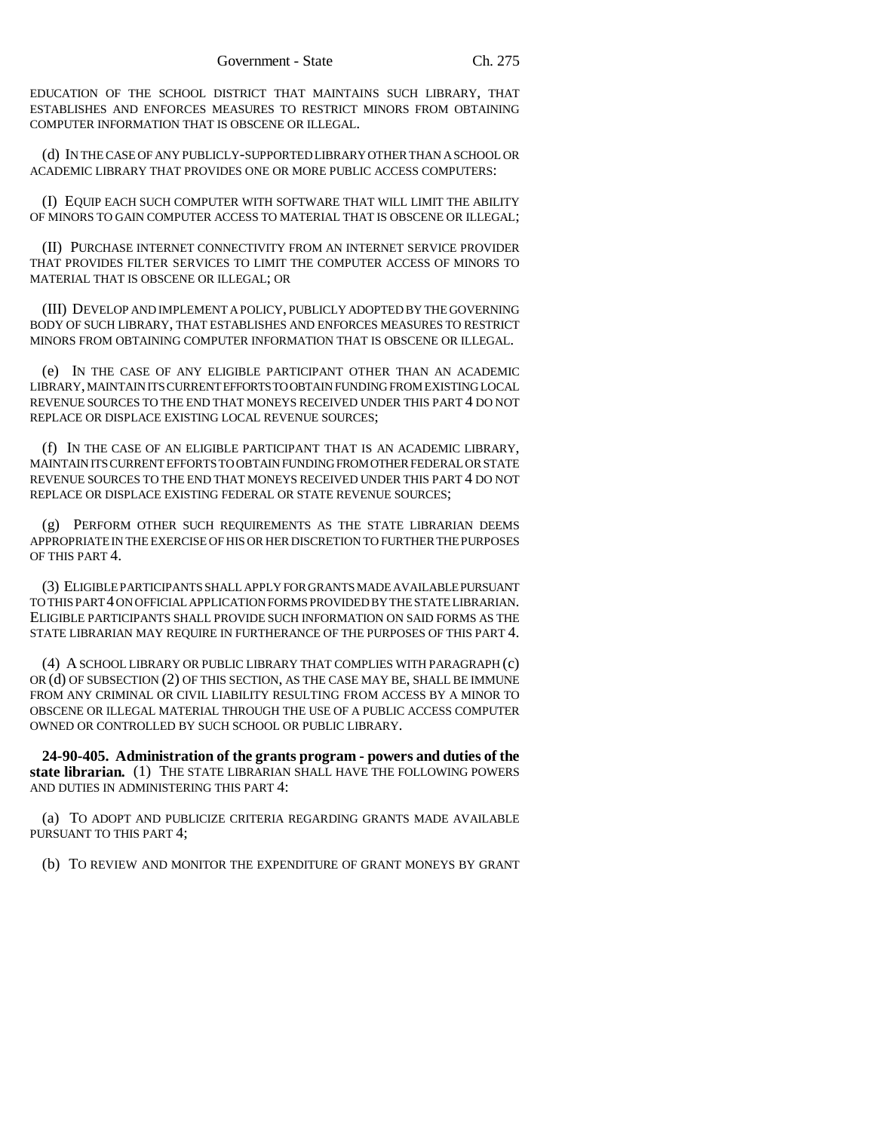EDUCATION OF THE SCHOOL DISTRICT THAT MAINTAINS SUCH LIBRARY, THAT ESTABLISHES AND ENFORCES MEASURES TO RESTRICT MINORS FROM OBTAINING COMPUTER INFORMATION THAT IS OBSCENE OR ILLEGAL.

(d) IN THE CASE OF ANY PUBLICLY-SUPPORTED LIBRARY OTHER THAN A SCHOOL OR ACADEMIC LIBRARY THAT PROVIDES ONE OR MORE PUBLIC ACCESS COMPUTERS:

(I) EQUIP EACH SUCH COMPUTER WITH SOFTWARE THAT WILL LIMIT THE ABILITY OF MINORS TO GAIN COMPUTER ACCESS TO MATERIAL THAT IS OBSCENE OR ILLEGAL;

(II) PURCHASE INTERNET CONNECTIVITY FROM AN INTERNET SERVICE PROVIDER THAT PROVIDES FILTER SERVICES TO LIMIT THE COMPUTER ACCESS OF MINORS TO MATERIAL THAT IS OBSCENE OR ILLEGAL; OR

(III) DEVELOP AND IMPLEMENT A POLICY, PUBLICLY ADOPTED BY THE GOVERNING BODY OF SUCH LIBRARY, THAT ESTABLISHES AND ENFORCES MEASURES TO RESTRICT MINORS FROM OBTAINING COMPUTER INFORMATION THAT IS OBSCENE OR ILLEGAL.

(e) IN THE CASE OF ANY ELIGIBLE PARTICIPANT OTHER THAN AN ACADEMIC LIBRARY, MAINTAIN ITS CURRENT EFFORTS TO OBTAIN FUNDING FROM EXISTING LOCAL REVENUE SOURCES TO THE END THAT MONEYS RECEIVED UNDER THIS PART 4 DO NOT REPLACE OR DISPLACE EXISTING LOCAL REVENUE SOURCES;

(f) IN THE CASE OF AN ELIGIBLE PARTICIPANT THAT IS AN ACADEMIC LIBRARY, MAINTAIN ITS CURRENT EFFORTS TO OBTAIN FUNDING FROM OTHER FEDERAL OR STATE REVENUE SOURCES TO THE END THAT MONEYS RECEIVED UNDER THIS PART 4 DO NOT REPLACE OR DISPLACE EXISTING FEDERAL OR STATE REVENUE SOURCES;

(g) PERFORM OTHER SUCH REQUIREMENTS AS THE STATE LIBRARIAN DEEMS APPROPRIATE IN THE EXERCISE OF HIS OR HER DISCRETION TO FURTHER THE PURPOSES OF THIS PART 4.

(3) ELIGIBLE PARTICIPANTS SHALL APPLY FOR GRANTS MADE AVAILABLE PURSUANT TO THIS PART 4 ON OFFICIAL APPLICATION FORMS PROVIDED BY THE STATE LIBRARIAN. ELIGIBLE PARTICIPANTS SHALL PROVIDE SUCH INFORMATION ON SAID FORMS AS THE STATE LIBRARIAN MAY REQUIRE IN FURTHERANCE OF THE PURPOSES OF THIS PART 4.

(4) A SCHOOL LIBRARY OR PUBLIC LIBRARY THAT COMPLIES WITH PARAGRAPH (c) OR (d) OF SUBSECTION (2) OF THIS SECTION, AS THE CASE MAY BE, SHALL BE IMMUNE FROM ANY CRIMINAL OR CIVIL LIABILITY RESULTING FROM ACCESS BY A MINOR TO OBSCENE OR ILLEGAL MATERIAL THROUGH THE USE OF A PUBLIC ACCESS COMPUTER OWNED OR CONTROLLED BY SUCH SCHOOL OR PUBLIC LIBRARY.

**24-90-405. Administration of the grants program - powers and duties of the state librarian.** (1) THE STATE LIBRARIAN SHALL HAVE THE FOLLOWING POWERS AND DUTIES IN ADMINISTERING THIS PART 4:

(a) TO ADOPT AND PUBLICIZE CRITERIA REGARDING GRANTS MADE AVAILABLE PURSUANT TO THIS PART 4;

(b) TO REVIEW AND MONITOR THE EXPENDITURE OF GRANT MONEYS BY GRANT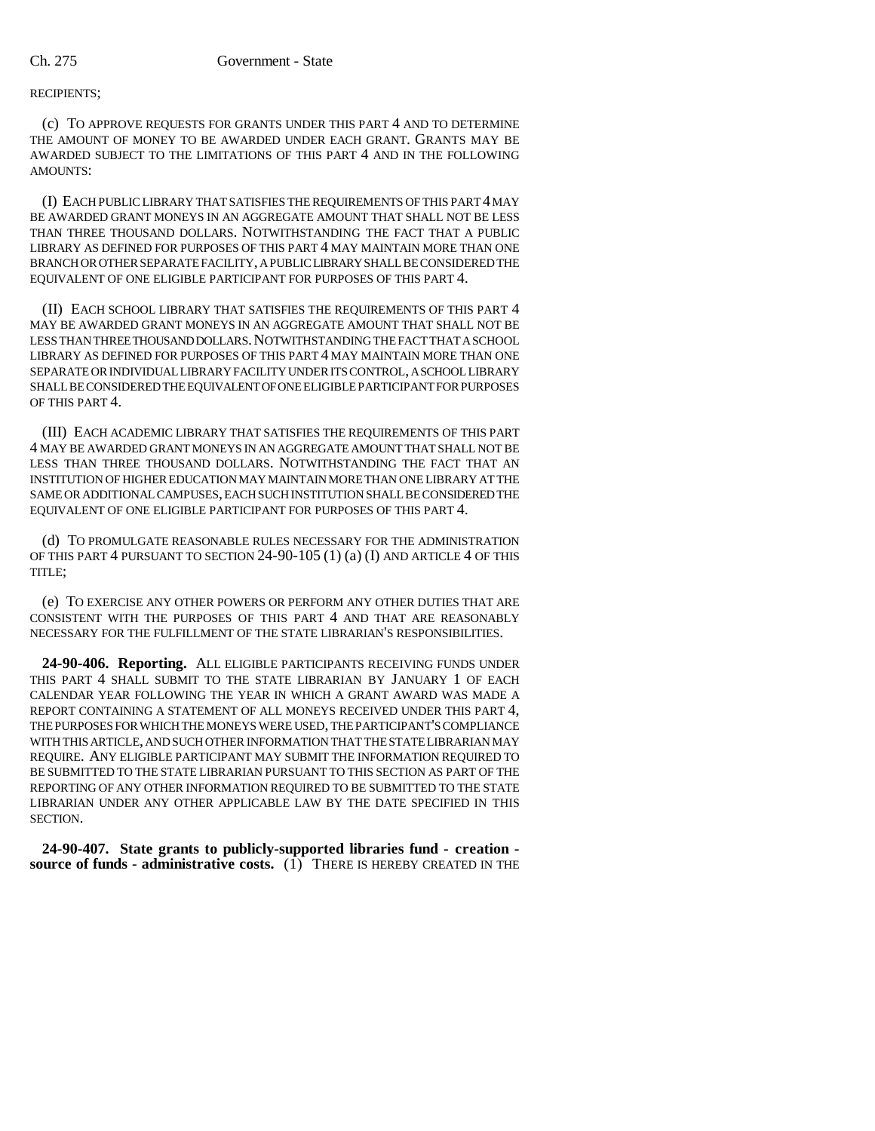RECIPIENTS;

(c) TO APPROVE REQUESTS FOR GRANTS UNDER THIS PART 4 AND TO DETERMINE THE AMOUNT OF MONEY TO BE AWARDED UNDER EACH GRANT. GRANTS MAY BE AWARDED SUBJECT TO THE LIMITATIONS OF THIS PART 4 AND IN THE FOLLOWING AMOUNTS:

(I) EACH PUBLIC LIBRARY THAT SATISFIES THE REQUIREMENTS OF THIS PART 4 MAY BE AWARDED GRANT MONEYS IN AN AGGREGATE AMOUNT THAT SHALL NOT BE LESS THAN THREE THOUSAND DOLLARS. NOTWITHSTANDING THE FACT THAT A PUBLIC LIBRARY AS DEFINED FOR PURPOSES OF THIS PART 4 MAY MAINTAIN MORE THAN ONE BRANCH OR OTHER SEPARATE FACILITY, A PUBLIC LIBRARY SHALL BE CONSIDERED THE EQUIVALENT OF ONE ELIGIBLE PARTICIPANT FOR PURPOSES OF THIS PART 4.

(II) EACH SCHOOL LIBRARY THAT SATISFIES THE REQUIREMENTS OF THIS PART 4 MAY BE AWARDED GRANT MONEYS IN AN AGGREGATE AMOUNT THAT SHALL NOT BE LESS THAN THREE THOUSAND DOLLARS. NOTWITHSTANDING THE FACT THAT A SCHOOL LIBRARY AS DEFINED FOR PURPOSES OF THIS PART 4 MAY MAINTAIN MORE THAN ONE SEPARATE OR INDIVIDUAL LIBRARY FACILITY UNDER ITS CONTROL, A SCHOOL LIBRARY SHALL BE CONSIDERED THE EQUIVALENT OF ONE ELIGIBLE PARTICIPANT FOR PURPOSES OF THIS PART 4.

(III) EACH ACADEMIC LIBRARY THAT SATISFIES THE REQUIREMENTS OF THIS PART 4 MAY BE AWARDED GRANT MONEYS IN AN AGGREGATE AMOUNT THAT SHALL NOT BE LESS THAN THREE THOUSAND DOLLARS. NOTWITHSTANDING THE FACT THAT AN INSTITUTION OF HIGHER EDUCATION MAY MAINTAIN MORE THAN ONE LIBRARY AT THE SAME OR ADDITIONAL CAMPUSES, EACH SUCH INSTITUTION SHALL BE CONSIDERED THE EQUIVALENT OF ONE ELIGIBLE PARTICIPANT FOR PURPOSES OF THIS PART 4.

(d) TO PROMULGATE REASONABLE RULES NECESSARY FOR THE ADMINISTRATION OF THIS PART 4 PURSUANT TO SECTION 24-90-105 (1) (a) (I) AND ARTICLE 4 OF THIS TITLE;

(e) TO EXERCISE ANY OTHER POWERS OR PERFORM ANY OTHER DUTIES THAT ARE CONSISTENT WITH THE PURPOSES OF THIS PART 4 AND THAT ARE REASONABLY NECESSARY FOR THE FULFILLMENT OF THE STATE LIBRARIAN'S RESPONSIBILITIES.

**24-90-406. Reporting.** ALL ELIGIBLE PARTICIPANTS RECEIVING FUNDS UNDER THIS PART 4 SHALL SUBMIT TO THE STATE LIBRARIAN BY JANUARY 1 OF EACH CALENDAR YEAR FOLLOWING THE YEAR IN WHICH A GRANT AWARD WAS MADE A REPORT CONTAINING A STATEMENT OF ALL MONEYS RECEIVED UNDER THIS PART 4, THE PURPOSES FOR WHICH THE MONEYS WERE USED, THE PARTICIPANT'S COMPLIANCE WITH THIS ARTICLE, AND SUCH OTHER INFORMATION THAT THE STATE LIBRARIAN MAY REQUIRE. ANY ELIGIBLE PARTICIPANT MAY SUBMIT THE INFORMATION REQUIRED TO BE SUBMITTED TO THE STATE LIBRARIAN PURSUANT TO THIS SECTION AS PART OF THE REPORTING OF ANY OTHER INFORMATION REQUIRED TO BE SUBMITTED TO THE STATE LIBRARIAN UNDER ANY OTHER APPLICABLE LAW BY THE DATE SPECIFIED IN THIS SECTION.

**24-90-407. State grants to publicly-supported libraries fund - creation source of funds - administrative costs.** (1) THERE IS HEREBY CREATED IN THE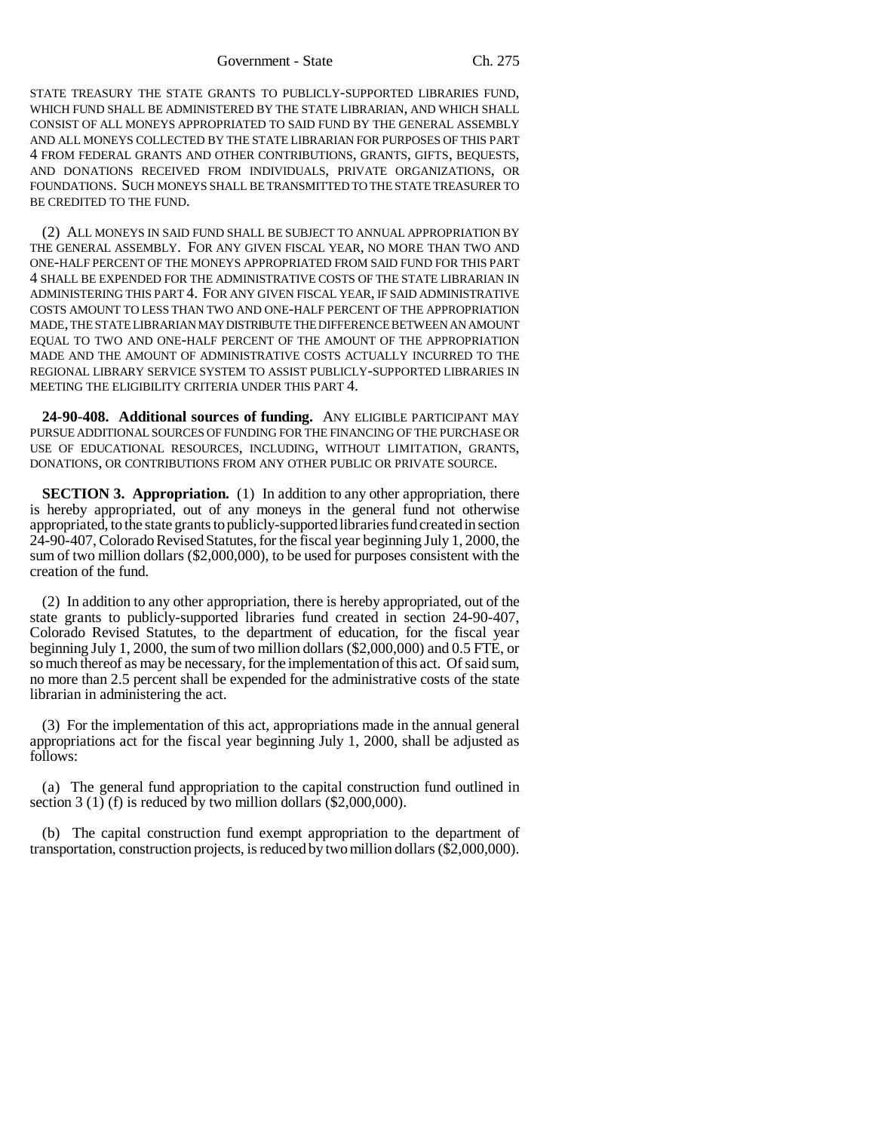STATE TREASURY THE STATE GRANTS TO PUBLICLY-SUPPORTED LIBRARIES FUND, WHICH FUND SHALL BE ADMINISTERED BY THE STATE LIBRARIAN, AND WHICH SHALL CONSIST OF ALL MONEYS APPROPRIATED TO SAID FUND BY THE GENERAL ASSEMBLY AND ALL MONEYS COLLECTED BY THE STATE LIBRARIAN FOR PURPOSES OF THIS PART 4 FROM FEDERAL GRANTS AND OTHER CONTRIBUTIONS, GRANTS, GIFTS, BEQUESTS, AND DONATIONS RECEIVED FROM INDIVIDUALS, PRIVATE ORGANIZATIONS, OR FOUNDATIONS. SUCH MONEYS SHALL BE TRANSMITTED TO THE STATE TREASURER TO BE CREDITED TO THE FUND.

(2) ALL MONEYS IN SAID FUND SHALL BE SUBJECT TO ANNUAL APPROPRIATION BY THE GENERAL ASSEMBLY. FOR ANY GIVEN FISCAL YEAR, NO MORE THAN TWO AND ONE-HALF PERCENT OF THE MONEYS APPROPRIATED FROM SAID FUND FOR THIS PART 4 SHALL BE EXPENDED FOR THE ADMINISTRATIVE COSTS OF THE STATE LIBRARIAN IN ADMINISTERING THIS PART 4. FOR ANY GIVEN FISCAL YEAR, IF SAID ADMINISTRATIVE COSTS AMOUNT TO LESS THAN TWO AND ONE-HALF PERCENT OF THE APPROPRIATION MADE, THE STATE LIBRARIAN MAY DISTRIBUTE THE DIFFERENCE BETWEEN AN AMOUNT EQUAL TO TWO AND ONE-HALF PERCENT OF THE AMOUNT OF THE APPROPRIATION MADE AND THE AMOUNT OF ADMINISTRATIVE COSTS ACTUALLY INCURRED TO THE REGIONAL LIBRARY SERVICE SYSTEM TO ASSIST PUBLICLY-SUPPORTED LIBRARIES IN MEETING THE ELIGIBILITY CRITERIA UNDER THIS PART 4.

**24-90-408. Additional sources of funding.** ANY ELIGIBLE PARTICIPANT MAY PURSUE ADDITIONAL SOURCES OF FUNDING FOR THE FINANCING OF THE PURCHASE OR USE OF EDUCATIONAL RESOURCES, INCLUDING, WITHOUT LIMITATION, GRANTS, DONATIONS, OR CONTRIBUTIONS FROM ANY OTHER PUBLIC OR PRIVATE SOURCE.

**SECTION 3. Appropriation.** (1) In addition to any other appropriation, there is hereby appropriated, out of any moneys in the general fund not otherwise appropriated, to the state grants to publicly-supported libraries fund created in section 24-90-407, Colorado Revised Statutes, for the fiscal year beginning July 1, 2000, the sum of two million dollars (\$2,000,000), to be used for purposes consistent with the creation of the fund.

(2) In addition to any other appropriation, there is hereby appropriated, out of the state grants to publicly-supported libraries fund created in section 24-90-407, Colorado Revised Statutes, to the department of education, for the fiscal year beginning July 1, 2000, the sum of two million dollars (\$2,000,000) and 0.5 FTE, or so much thereof as may be necessary, for the implementation of this act. Of said sum, no more than 2.5 percent shall be expended for the administrative costs of the state librarian in administering the act.

(3) For the implementation of this act, appropriations made in the annual general appropriations act for the fiscal year beginning July 1, 2000, shall be adjusted as follows:

(a) The general fund appropriation to the capital construction fund outlined in section 3 (1) (f) is reduced by two million dollars  $(\$2,000,000)$ .

(b) The capital construction fund exempt appropriation to the department of transportation, construction projects, is reduced by two million dollars (\$2,000,000).